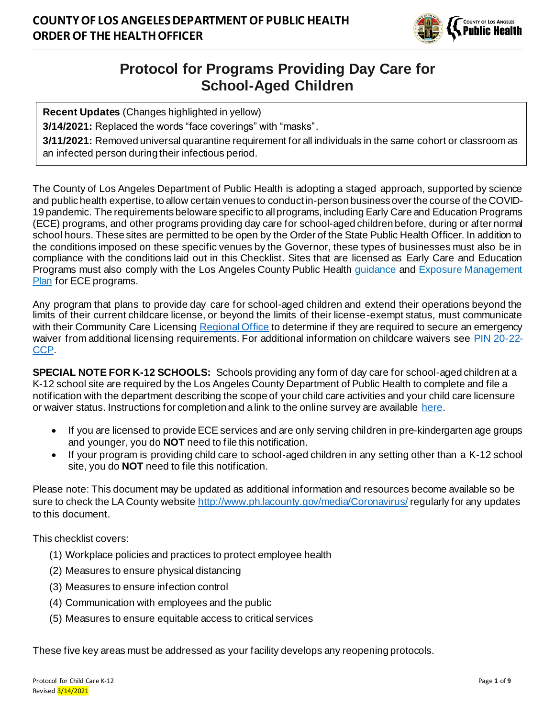

# **Protocol for Programs Providing Day Care for School-Aged Children**

**Recent Updates** (Changes highlighted in yellow)

**3/14/2021:** Replaced the words "face coverings" with "masks".

**3/11/2021:** Removed universal quarantine requirement for all individuals in the same cohort or classroom as an infected person during their infectious period.

The County of Los Angeles Department of Public Health is adopting a staged approach, supported by science and public health expertise, to allow certain venues to conduct in-person business over the course of the COVID-19 pandemic. The requirements below are specific to all programs, including Early Care and Education Programs (ECE) programs, and other programs providing day care for school-aged children before, during or after normal school hours. These sites are permitted to be open by the Order of the State Public Health Officer. In addition to the conditions imposed on these specific venues by the Governor, these types of businesses must also be in compliance with the conditions laid out in this Checklist. Sites that are licensed as Early Care and Education Programs must also comply with the Los Angeles County Public Health [guidance](http://www.ph.lacounty.gov/media/Coronavirus/docs/education/GuidanceEarlyChildhoodEducation.pdf) and Exposure Management [Plan](http://publichealth.lacounty.gov/media/coronavirus/reopening-la.htm#eceplan) for ECE programs.

Any program that plans to provide day care for school-aged children and extend their operations beyond the limits of their current childcare license, or beyond the limits of their license-exempt status, must communicate with their Community Care Licensin[g Regional Office](https://www.cdss.ca.gov/Portals/9/CCLD/202006-Community-Care-Licensing-Division-Child-Care-Offices.pdf) to determine if they are required to secure an emergency waiver from additional licensing requirements. For additional information on childcare waivers see [PIN 20-22-](https://www.cdss.ca.gov/Portals/9/CCLD/PINs/2020/CCP/PIN-20-22-CCP.pdf) [CCP.](https://www.cdss.ca.gov/Portals/9/CCLD/PINs/2020/CCP/PIN-20-22-CCP.pdf)

**SPECIAL NOTE FOR K-12 SCHOOLS:** Schools providing any form of day care for school-aged children at a K-12 school site are required by the Los Angeles County Department of Public Health to complete and file a notification with the department describing the scope of your child care activities and your child care licensure or waiver status. Instructions for completion and a link to the online survey are available [here.](http://www.publichealth.lacounty.gov/media/Coronavirus/docs/education/Childcare_for_School-Aged_Children_Notification_Form_Instructions.pdf)

- If you are licensed to provide ECE services and are only serving children in pre-kindergarten age groups and younger, you do **NOT** need to file this notification.
- If your program is providing child care to school-aged children in any setting other than a K-12 school site, you do **NOT** need to file this notification.

Please note: This document may be updated as additional information and resources become available so be sure to check the LA County websit[e http://www.ph.lacounty.gov/media/Coronavirus/](http://www.ph.lacounty.gov/media/Coronavirus/) regularly for any updates to this document.

This checklist covers:

- (1) Workplace policies and practices to protect employee health
- (2) Measures to ensure physical distancing
- (3) Measures to ensure infection control
- (4) Communication with employees and the public
- (5) Measures to ensure equitable access to critical services

These five key areas must be addressed as your facility develops any reopening protocols.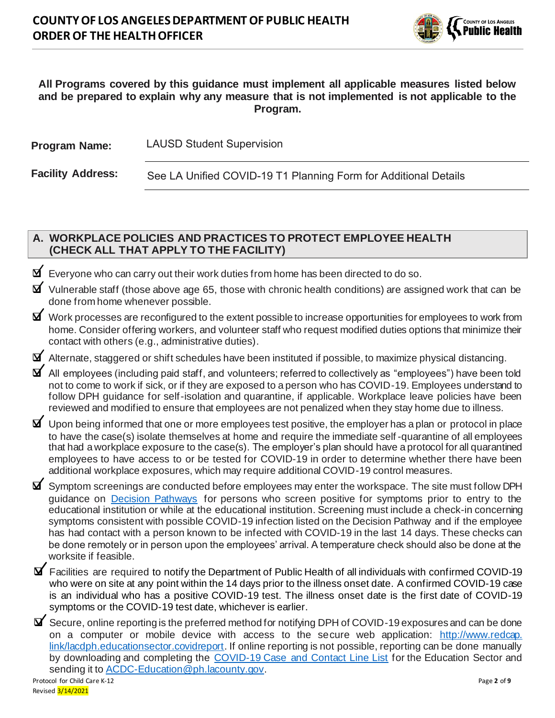

#### **All Programs covered by this guidance must implement all applicable measures listed below and be prepared to explain why any measure that is not implemented is not applicable to the Program.**

| <b>Program Name:</b>     | <b>LAUSD Student Supervision</b>                                |
|--------------------------|-----------------------------------------------------------------|
| <b>Facility Address:</b> | See LA Unified COVID-19 T1 Planning Form for Additional Details |

### **A. WORKPLACE POLICIES AND PRACTICES TO PROTECT EMPLOYEE HEALTH (CHECK ALL THAT APPLY TO THE FACILITY)**

- ❑ Everyone who can carry out their work duties from home has been directed to do so.
- ❑ Vulnerable staff (those above age 65, those with chronic health conditions) are assigned work that can be done from home whenever possible.
- ❑ Work processes are reconfigured to the extent possible to increase opportunities for employees to work from home. Consider offering workers, and volunteer staff who request modified duties options that minimize their contact with others (e.g., administrative duties).

❑ Alternate, staggered or shift schedules have been instituted if possible, to maximize physical distancing.

- ❑ All employees (including paid staff, and volunteers; referred to collectively as "employees") have been told not to come to work if sick, or if they are exposed to a person who has COVID-19. Employees understand to follow DPH guidance for self-isolation and quarantine, if applicable. Workplace leave policies have been reviewed and modified to ensure that employees are not penalized when they stay home due to illness.
- ❑ Upon being informed that one or more employees test positive, the employer has a plan or protocol in place to have the case(s) isolate themselves at home and require the immediate self -quarantine of all employees that had a workplace exposure to the case(s). The employer's plan should have a protocol for all quarantined employees to have access to or be tested for COVID-19 in order to determine whether there have been additional workplace exposures, which may require additional COVID-19 control measures.
- ❑ Symptom screenings are conducted before employees may enter the workspace. The site must follow DPH guidance on **[Decision Pathways](http://publichealth.lacounty.gov/media/Coronavirus/docs/education/ScreeningEducationSettings.pdf)** for persons who screen positive for symptoms prior to entry to the educational institution or while at the educational institution. Screening must include a check-in concerning symptoms consistent with possible COVID-19 infection listed on the Decision Pathway and if the employee has had contact with a person known to be infected with COVID-19 in the last 14 days. These checks can be done remotely or in person upon the employees' arrival. A temperature check should also be done at the worksite if feasible.
- ❑ Facilities are required to notify the Department of Public Health of all individuals with confirmed COVID-19 who were on site at any point within the 14 days prior to the illness onset date. A confirmed COVID-19 case is an individual who has a positive COVID-19 test. The illness onset date is the first date of COVID-19 symptoms or the COVID-19 test date, whichever is earlier.
- Protocol for Child Care K-12 Page **2** of **9** ❑ Secure, online reporting is the preferred method for notifying DPH of COVID-19 exposures and can be done on a computer or mobile device with access to the secure web application: http://www.redcap. link/lacdph.educationsector.covidreport. If online reporting is not possible, reporting can be done manually by downloading and completing the [COVID-19 Case and Contact Line List](http://publichealth.lacounty.gov/acd/Diseases/EpiForms/COVID_OBlinelist_Education_Sector.xlsm) for the Education Sector and sending it to [ACDC-Education@ph.lacounty.gov](mailto:ACDC-Education@ph.lacounty.gov).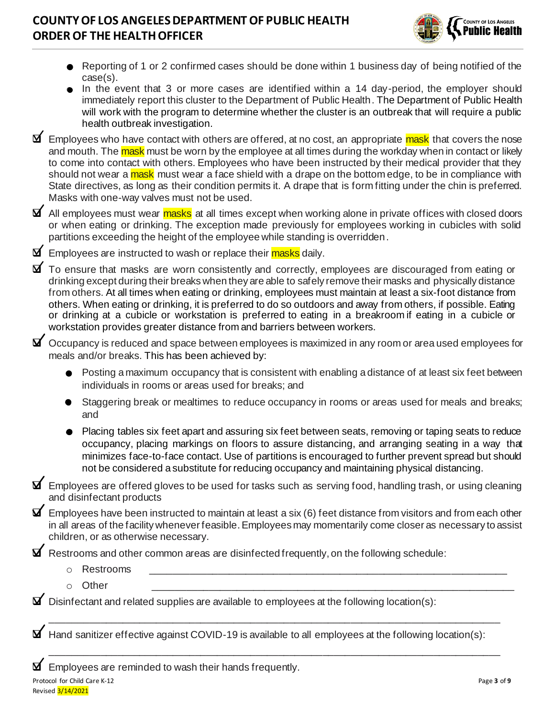

- Reporting of 1 or 2 confirmed cases should be done within 1 business day of being notified of the case(s).
- In the event that 3 or more cases are identified within a 14 day-period, the employer should immediately report this cluster to the Department of Public Health. The Department of Public Health will work with the program to determine whether the cluster is an outbreak that will require a public health outbreak investigation.
- **⊡** Employees who have contact with others are offered, at no cost, an appropriate mask that covers the nose and mouth. The mask must be worn by the employee at all times during the workday when in contact or likely to come into contact with others. Employees who have been instructed by their medical provider that they should not wear a mask must wear a face shield with a drape on the bottom edge, to be in compliance with State directives, as long as their condition permits it. A drape that is form fitting under the chin is preferred. Masks with one-way valves must not be used.
- **I** All emplovees must wear **masks** at all times except when working alone in private offices with closed doors or when eating or drinking. The exception made previously for employees working in cubicles with solid partitions exceeding the height of the employee while standing is overridden.
- **I** Employees are instructed to wash or replace their masks daily.
- ❑ To ensure that masks are worn consistently and correctly, employees are discouraged from eating or drinking except during their breaks when they are able to safely remove their masks and physically distance from others. At all times when eating or drinking, employees must maintain at least a six-foot distance from others. When eating or drinking, it is preferred to do so outdoors and away from others, if possible. Eating or drinking at a cubicle or workstation is preferred to eating in a breakroom if eating in a cubicle or workstation provides greater distance from and barriers between workers.
- ❑ Occupancy is reduced and space between employees is maximized in any room or area used employees for meals and/or breaks. This has been achieved by:
	- $\bullet$  Posting a maximum occupancy that is consistent with enabling a distance of at least six feet between individuals in rooms or areas used for breaks; and
	- Staggering break or mealtimes to reduce occupancy in rooms or areas used for meals and breaks; and
	- Placing tables six feet apart and assuring six feet between seats, removing or taping seats to reduce occupancy, placing markings on floors to assure distancing, and arranging seating in a way that minimizes face-to-face contact. Use of partitions is encouraged to further prevent spread but should not be considered a substitute for reducing occupancy and maintaining physical distancing.
- ❑ Employees are offered gloves to be used for tasks such as serving food, handling trash, or using cleaning and disinfectant products
- $\blacktriangleright$  Employees have been instructed to maintain at least a six (6) feet distance from visitors and from each other in all areas of the facility whenever feasible. Employees may momentarily come closer as necessary to assist children, or as otherwise necessary.
- ❑ Restrooms and other common areas are disinfected frequently, on the following schedule:
	- o Restrooms \_\_\_\_\_\_\_\_\_\_\_\_\_\_\_\_\_\_\_\_\_\_\_\_\_\_\_\_\_\_\_\_\_\_\_\_\_\_\_\_\_\_\_\_\_\_\_\_\_\_\_\_\_\_\_\_\_\_\_\_\_\_\_\_
	- o Other \_\_\_\_\_\_\_\_\_\_\_\_\_\_\_\_\_\_\_\_\_\_\_\_\_\_\_\_\_\_\_\_\_\_\_\_\_\_\_\_\_\_\_\_\_\_\_\_\_\_\_\_\_\_\_\_\_\_\_\_\_\_\_\_\_
- Disinfectant and related supplies are available to employees at the following location(s):

Hand sanitizer effective against COVID-19 is available to all employees at the following location(s):

\_\_\_\_\_\_\_\_\_\_\_\_\_\_\_\_\_\_\_\_\_\_\_\_\_\_\_\_\_\_\_\_\_\_\_\_\_\_\_\_\_\_\_\_\_\_\_\_\_\_\_\_\_\_\_\_\_\_\_\_\_\_\_\_\_\_\_\_\_\_\_\_\_\_\_\_\_\_\_\_\_

\_\_\_\_\_\_\_\_\_\_\_\_\_\_\_\_\_\_\_\_\_\_\_\_\_\_\_\_\_\_\_\_\_\_\_\_\_\_\_\_\_\_\_\_\_\_\_\_\_\_\_\_\_\_\_\_\_\_\_\_\_\_\_\_\_\_\_\_\_\_\_\_\_\_\_\_\_\_\_\_\_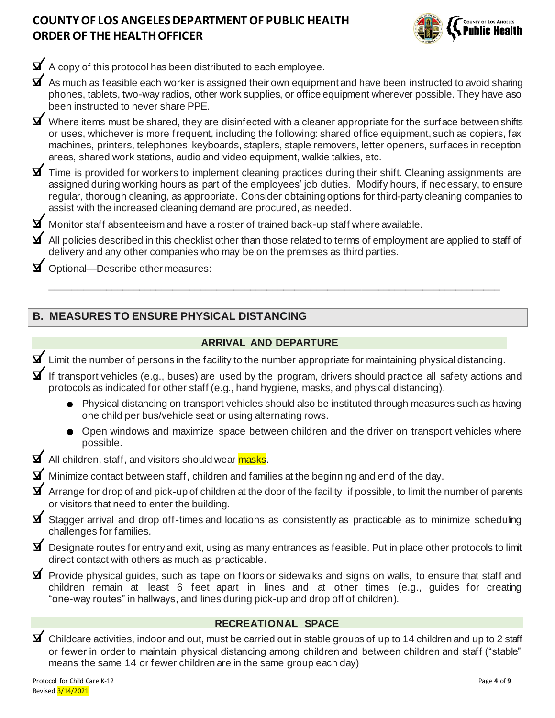

 $\Delta$  A copy of this protocol has been distributed to each employee.

 $\blacktriangleright$  As much as feasible each worker is assigned their own equipment and have been instructed to avoid sharing phones, tablets, two-way radios, other work supplies, or office equipment wherever possible. They have also been instructed to never share PPE.

❑ Where items must be shared, they are disinfected with a cleaner appropriate for the surface between shifts or uses, whichever is more frequent, including the following: shared office equipment, such as copiers, fax machines, printers, telephones, keyboards, staplers, staple removers, letter openers, surfaces in reception areas, shared work stations, audio and video equipment, walkie talkies, etc.

❑ Time is provided for workers to implement cleaning practices during their shift. Cleaning assignments are assigned during working hours as part of the employees' job duties. Modify hours, if necessary, to ensure regular, thorough cleaning, as appropriate. Consider obtaining options for third-party cleaning companies to assist with the increased cleaning demand are procured, as needed.

 $\blacktriangleright$  Monitor staff absenteeism and have a roster of trained back-up staff where available.

All policies described in this checklist other than those related to terms of employment are applied to staff of delivery and any other companies who may be on the premises as third parties.

\_\_\_\_\_\_\_\_\_\_\_\_\_\_\_\_\_\_\_\_\_\_\_\_\_\_\_\_\_\_\_\_\_\_\_\_\_\_\_\_\_\_\_\_\_\_\_\_\_\_\_\_\_\_\_\_\_\_\_\_\_\_\_\_\_\_\_\_\_\_\_\_\_\_\_\_\_\_\_\_\_

❑ Optional—Describe other measures:

### **B. MEASURES TO ENSURE PHYSICAL DISTANCING**

#### **ARRIVAL AND DEPARTURE**

❑ Limit the number of persons in the facility to the number appropriate for maintaining physical distancing.

❑ If transport vehicles (e.g., buses) are used by the program, drivers should practice all safety actions and protocols as indicated for other staff (e.g., hand hygiene, masks, and physical distancing).

- Physical distancing on transport vehicles should also be instituted through measures such as having one child per bus/vehicle seat or using alternating rows.
- o Open windows and maximize space between children and the driver on transport vehicles where possible.

**I** All children, staff, and visitors should wear masks.

 $\blacktriangleright$  Minimize contact between staff, children and families at the beginning and end of the day.

 $\blacktriangleright$  Arrange for drop of and pick-up of children at the door of the facility, if possible, to limit the number of parents or visitors that need to enter the building.

❑ Stagger arrival and drop off-times and locations as consistently as practicable as to minimize scheduling challenges for families.

❑ Designate routes for entry and exit, using as many entrances as feasible. Put in place other protocols to limit direct contact with others as much as practicable.

❑ Provide physical guides, such as tape on floors or sidewalks and signs on walls, to ensure that staff and children remain at least 6 feet apart in lines and at other times (e.g., guides for creating "one-way routes" in hallways, and lines during pick-up and drop off of children).

#### **RECREATIONAL SPACE**

❑ Childcare activities, indoor and out, must be carried out in stable groups of up to 14 children and up to 2 staff or fewer in order to maintain physical distancing among children and between children and staff ("stable" means the same 14 or fewer children are in the same group each day)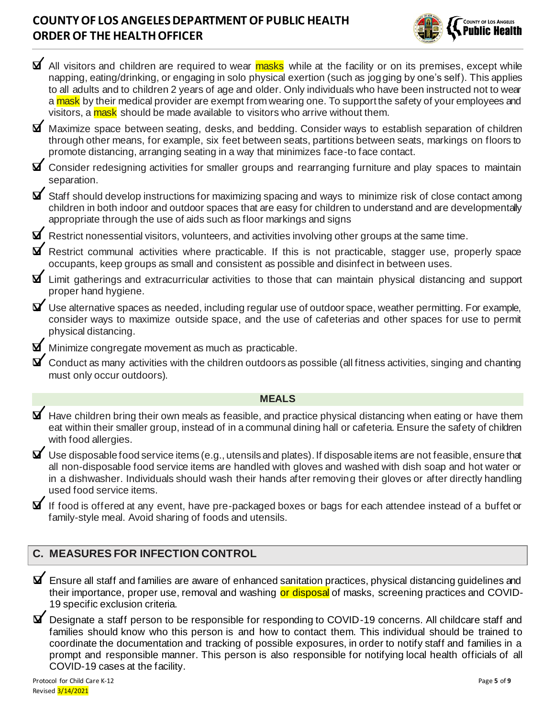

| <b>⊠</b> All visitors and children are required to wear masks while at the facility or on its premises, except while<br>napping, eating/drinking, or engaging in solo physical exertion (such as jogging by one's self). This applies<br>to all adults and to children 2 years of age and older. Only individuals who have been instructed not to wear<br>a mask by their medical provider are exempt from wearing one. To support the safety of your employees and<br>visitors, a mask should be made available to visitors who arrive without them. |
|-------------------------------------------------------------------------------------------------------------------------------------------------------------------------------------------------------------------------------------------------------------------------------------------------------------------------------------------------------------------------------------------------------------------------------------------------------------------------------------------------------------------------------------------------------|
| <b>Ø</b> Maximize space between seating, desks, and bedding. Consider ways to establish separation of children<br>through other means, for example, six feet between seats, partitions between seats, markings on floors to<br>promote distancing, arranging seating in a way that minimizes face-to face contact.                                                                                                                                                                                                                                    |
| $\blacktriangleright$ Consider redesigning activities for smaller groups and rearranging furniture and play spaces to maintain<br>separation.                                                                                                                                                                                                                                                                                                                                                                                                         |
| $\blacktriangleright$ Staff should develop instructions for maximizing spacing and ways to minimize risk of close contact among<br>children in both indoor and outdoor spaces that are easy for children to understand and are developmentally<br>appropriate through the use of aids such as floor markings and signs                                                                                                                                                                                                                                |
| $\blacktriangleright$ Restrict nonessential visitors, volunteers, and activities involving other groups at the same time.                                                                                                                                                                                                                                                                                                                                                                                                                             |
| <b>M</b> Restrict communal activities where practicable. If this is not practicable, stagger use, properly space<br>occupants, keep groups as small and consistent as possible and disinfect in between uses.                                                                                                                                                                                                                                                                                                                                         |
| $\blacktriangleright$ Limit gatherings and extracurricular activities to those that can maintain physical distancing and support<br>proper hand hygiene.                                                                                                                                                                                                                                                                                                                                                                                              |
| $\blacktriangleright$ Use alternative spaces as needed, including regular use of outdoor space, weather permitting. For example,<br>consider ways to maximize outside space, and the use of cafeterias and other spaces for use to permit<br>physical distancing.                                                                                                                                                                                                                                                                                     |
| $\blacktriangleright$ Minimize congregate movement as much as practicable.                                                                                                                                                                                                                                                                                                                                                                                                                                                                            |
| $\blacktriangleright$ Conduct as many activities with the children outdoors as possible (all fitness activities, singing and chanting<br>must only occur outdoors).                                                                                                                                                                                                                                                                                                                                                                                   |
| <b>MEALS</b>                                                                                                                                                                                                                                                                                                                                                                                                                                                                                                                                          |
| $\blacktriangleright$ Have children bring their own meals as feasible, and practice physical distancing when eating or have them<br>eat within their smaller group, instead of in a communal dining hall or cafeteria. Ensure the safety of children<br>with food allergies.                                                                                                                                                                                                                                                                          |
| $\blacktriangleright$ Use disposable food service items (e.g., utensils and plates). If disposable items are not feasible, ensure that<br>all non-disposable food service items are handled with gloves and washed with dish soap and hot water or<br>in a dishwasher. Individuals should wash their hands after removing their gloves or after directly handling<br>used food service items.                                                                                                                                                         |
| $\blacktriangleright$ If food is offered at any event, have pre-packaged boxes or bags for each attendee instead of a buffet or<br>family-style meal. Avoid sharing of foods and utensils.                                                                                                                                                                                                                                                                                                                                                            |
| <b>C. MEASURES FOR INFECTION CONTROL</b>                                                                                                                                                                                                                                                                                                                                                                                                                                                                                                              |

- ❑ Ensure all staff and families are aware of enhanced sanitation practices, physical distancing guidelines and their importance, proper use, removal and washing or disposal of masks, screening practices and COVID-19 specific exclusion criteria.
- ❑ Designate a staff person to be responsible for responding to COVID-19 concerns. All childcare staff and families should know who this person is and how to contact them. This individual should be trained to coordinate the documentation and tracking of possible exposures, in order to notify staff and families in a prompt and responsible manner. This person is also responsible for notifying local health officials of all COVID-19 cases at the facility.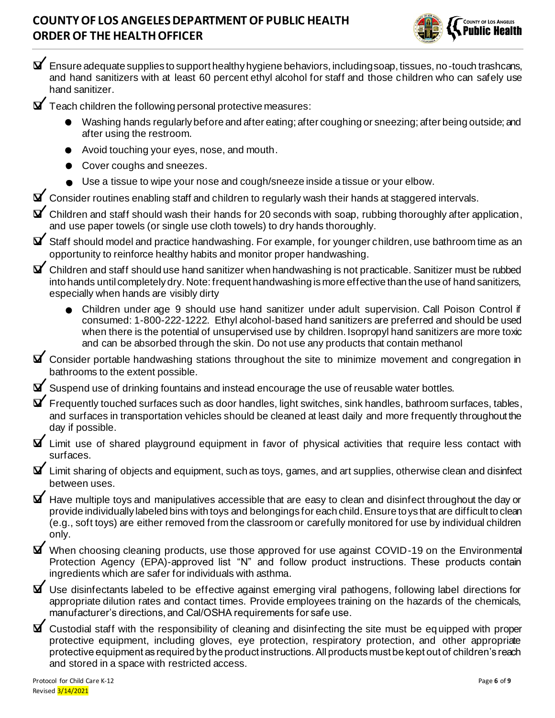

- $\blacktriangleright$  Ensure adequate supplies to support healthy hygiene behaviors, including soap, tissues, no-touch trashcans, and hand sanitizers with at least 60 percent ethyl alcohol for staff and those children who can safely use hand sanitizer.
- $\Delta'$  Teach children the following personal protective measures:
	- o Washing hands regularly before and after eating; after coughing or sneezing; after being outside; and after using the restroom.
	- o Avoid touching your eyes, nose, and mouth.
	- Cover coughs and sneezes.
	- Use a tissue to wipe your nose and cough/sneeze inside a tissue or your elbow.

❑ Consider routines enabling staff and children to regularly wash their hands at staggered intervals.

- ❑ Children and staff should wash their hands for 20 seconds with soap, rubbing thoroughly after application, and use paper towels (or single use cloth towels) to dry hands thoroughly.
- $\blacktriangleright$  Staff should model and practice handwashing. For example, for younger children, use bathroom time as an opportunity to reinforce healthy habits and monitor proper handwashing.
- ❑ Children and staff should use hand sanitizer when handwashing is not practicable. Sanitizer must be rubbed into hands until completely dry. Note: frequent handwashing is more effective than the use of hand sanitizers, especially when hands are visibly dirty
	- o Children under age 9 should use hand sanitizer under adult supervision. Call Poison Control if consumed: 1-800-222-1222. Ethyl alcohol-based hand sanitizers are preferred and should be used when there is the potential of unsupervised use by children. Isopropyl hand sanitizers are more toxic and can be absorbed through the skin. Do not use any products that contain methanol
- ❑ Consider portable handwashing stations throughout the site to minimize movement and congregation in bathrooms to the extent possible.
- $\blacktriangleright$  Suspend use of drinking fountains and instead encourage the use of reusable water bottles.
- $\blacktriangleright$  Frequently touched surfaces such as door handles, light switches, sink handles, bathroom surfaces, tables, and surfaces in transportation vehicles should be cleaned at least daily and more frequently throughout the day if possible.
- ❑ Limit use of shared playground equipment in favor of physical activities that require less contact with surfaces.
- $\blacktriangleright$  Limit sharing of objects and equipment, such as toys, games, and art supplies, otherwise clean and disinfect between uses.
- $\blacktriangleright$  Have multiple toys and manipulatives accessible that are easy to clean and disinfect throughout the day or provide individually labeled bins with toys and belongings for each child. Ensure toys that are difficult to clean (e.g., soft toys) are either removed from the classroom or carefully monitored for use by individual children only.
- ❑ When choosing cleaning products, use those approved for use against COVID-19 on the Environmental Protection Agency (EPA)-approved list "N" and follow product instructions. These products contain ingredients which are safer for individuals with asthma.
- $\blacktriangleright$  Use disinfectants labeled to be effective against emerging viral pathogens, following label directions for appropriate dilution rates and contact times. Provide employees training on the hazards of the chemicals, manufacturer's directions, and Cal/OSHA requirements for safe use.
- $\blacktriangleright$  Custodial staff with the responsibility of cleaning and disinfecting the site must be equipped with proper protective equipment, including gloves, eye protection, respiratory protection, and other appropriate protective equipment as required by the product instructions. All products must be kept out of children's reach and stored in a space with restricted access.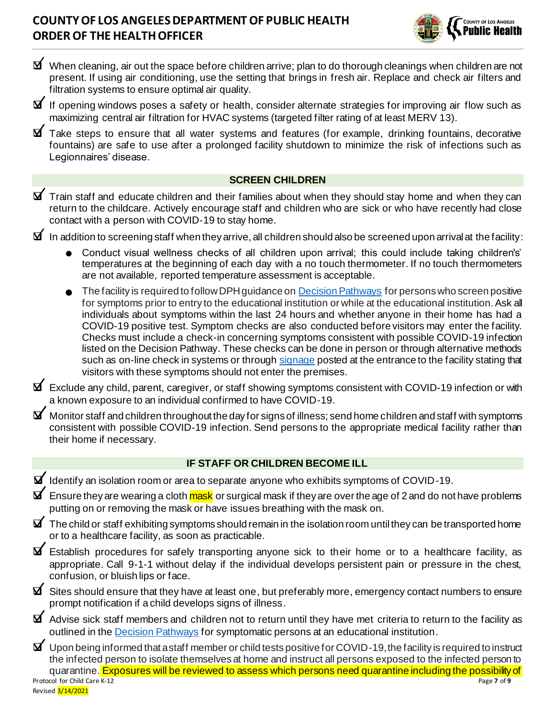

- ❑ When cleaning, air out the space before children arrive; plan to do thorough cleanings when children are not present. If using air conditioning, use the setting that brings in fresh air. Replace and check air filters and filtration systems to ensure optimal air quality.
- ❑ If opening windows poses a safety or health, consider alternate strategies for improving air flow such as maximizing central air filtration for HVAC systems (targeted filter rating of at least MERV 13).
- ❑ Take steps to ensure that all water systems and features (for example, drinking fountains, decorative fountains) are safe to use after a prolonged facility shutdown to minimize the risk of infections such as Legionnaires' disease.

### **SCREEN CHILDREN**

- $\blacktriangleright$  Train staff and educate children and their families about when they should stay home and when they can return to the childcare. Actively encourage staff and children who are sick or who have recently had close contact with a person with COVID-19 to stay home.
- $\blacktriangleright$  In addition to screening staff when they arrive, all children should also be screened upon arrival at the facility:
	- o Conduct visual wellness checks of all children upon arrival; this could include taking children's' temperatures at the beginning of each day with a no touch thermometer. If no touch thermometers are not available, reported temperature assessment is acceptable.
	- $\bullet$  The facility is required to follow DPH guidance o[n Decision Pathways](http://publichealth.lacounty.gov/media/Coronavirus/docs/education/ScreeningEducationSettings.pdf) for persons who screen positive for symptoms prior to entry to the educational institution or while at the educational institution. Ask all individuals about symptoms within the last 24 hours and whether anyone in their home has had a COVID-19 positive test. Symptom checks are also conducted before visitors may enter the facility. Checks must include a check-in concerning symptoms consistent with possible COVID-19 infection listed on the Decision Pathway. These checks can be done in person or through alternative methods such as on-line check in systems or through [signage](http://publichealth.lacounty.gov/media/Coronavirus/docs/business/NoticeToCustomers.pdf) posted at the entrance to the facility stating that visitors with these symptoms should not enter the premises.
- ❑ Exclude any child, parent, caregiver, or staff showing symptoms consistent with COVID-19 infection or with a known exposure to an individual confirmed to have COVID-19.
- $\blacktriangleright$  Monitor staff and children throughout the day for signs of illness; send home children and staff with symptoms consistent with possible COVID-19 infection. Send persons to the appropriate medical facility rather than their home if necessary.

#### **IF STAFF OR CHILDREN BECOME ILL**

- ❑ Identify an isolation room or area to separate anyone who exhibits symptoms of COVID-19.
- $\blacktriangleright$  Ensure they are wearing a cloth mask or surgical mask if they are over the age of 2 and do not have problems putting on or removing the mask or have issues breathing with the mask on.
- $\blacktriangleright$  The child or staff exhibiting symptoms should remain in the isolation room until they can be transported home or to a healthcare facility, as soon as practicable.
- $\blacktriangleright$  Establish procedures for safely transporting anyone sick to their home or to a healthcare facility, as appropriate. Call 9-1-1 without delay if the individual develops persistent pain or pressure in the chest, confusion, or bluish lips or face.
- ❑ Sites should ensure that they have at least one, but preferably more, emergency contact numbers to ensure prompt notification if a child develops signs of illness.
- $\blacktriangleright$  Advise sick staff members and children not to return until they have met criteria to return to the facility as outlined in th[e Decision Pathways](http://publichealth.lacounty.gov/media/Coronavirus/docs/education/ScreeningEducationSettings.pdf) for symptomatic persons at an educational institution.
- Protocol for Child Care K-12 Page **7** of **9** Revised 3/14/2021  $\blacktriangleright$  Upon being informed that a staff member or child tests positive for COVID-19, the facility is required to instruct the infected person to isolate themselves at home and instruct all persons exposed to the infected person to quarantine. Exposures will be reviewed to assess which persons need quarantine including the possibility of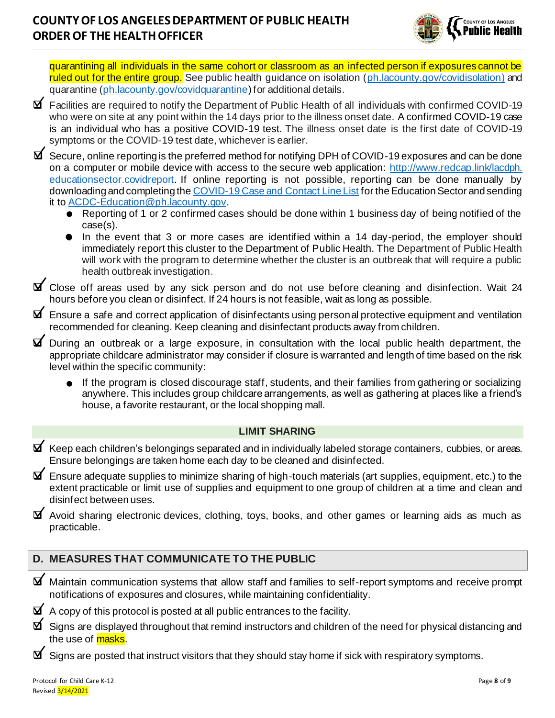

quarantining all individuals in the same cohort or classroom as an infected person if exposures cannot be ruled out for the entire group. See public health guidance on isolation (ph. lacounty.gov/covidisolation) and quarantine [\(ph.lacounty.gov/covidquarantine](http://publichealth.lacounty.gov/acd/ncorona2019/covidquarantine/)) for additional details.

❑ Facilities are required to notify the Department of Public Health of all individuals with confirmed COVID-19 who were on site at any point within the 14 days prior to the illness onset date. A confirmed COVID-19 case is an individual who has a positive COVID-19 test. The illness onset date is the first date of COVID-19 symptoms or the COVID-19 test date, whichever is earlier.

❑ Secure, online reporting is the preferred method for notifying DPH of COVID-19 exposures and can be done on a computer or mobile device with access to the secure web application: [http://www.redcap.link/lacdph.](http://www.redcap.link/lacdph.%20educationsector.covidreport) [educationsector.covidreport](http://www.redcap.link/lacdph.%20educationsector.covidreport). If online reporting is not possible, reporting can be done manually by downloading and completing the [COVID-19 Case and Contact Line List](http://publichealth.lacounty.gov/acd/Diseases/EpiForms/COVID_OBlinelist_Education_Sector.xlsm) for the Education Sector and sending it to [ACDC-Education@ph.lacounty.gov.](mailto:ACDC-Education@ph.lacounty.gov)

- o Reporting of 1 or 2 confirmed cases should be done within 1 business day of being notified of the case(s).
- In the event that 3 or more cases are identified within a 14 day-period, the employer should immediately report this cluster to the Department of Public Health. The Department of Public Health will work with the program to determine whether the cluster is an outbreak that will require a public health outbreak investigation.
- ❑ Close off areas used by any sick person and do not use before cleaning and disinfection. Wait 24 hours before you clean or disinfect. If 24 hours is not feasible, wait as long as possible.

❑ Ensure a safe and correct application of disinfectants using personal protective equipment and ventilation recommended for cleaning. Keep cleaning and disinfectant products away from children.

- ❑ During an outbreak or a large exposure, in consultation with the local public health department, the appropriate childcare administrator may consider if closure is warranted and length of time based on the risk level within the specific community:
	- If the program is closed discourage staff, students, and their families from gathering or socializing anywhere. This includes group childcare arrangements, as well as gathering at places like a friend's house, a favorite restaurant, or the local shopping mall.

#### **LIMIT SHARING**

- $\blacktriangleright$  Keep each children's belongings separated and in individually labeled storage containers, cubbies, or areas. Ensure belongings are taken home each day to be cleaned and disinfected.
- $\blacktriangleright$  Ensure adequate supplies to minimize sharing of high-touch materials (art supplies, equipment, etc.) to the extent practicable or limit use of supplies and equipment to one group of children at a time and clean and disinfect between uses.
- ❑ Avoid sharing electronic devices, clothing, toys, books, and other games or learning aids as much as practicable.

### **D. MEASURES THAT COMMUNICATE TO THE PUBLIC**

- ❑ Maintain communication systems that allow staff and families to self-report symptoms and receive prompt notifications of exposures and closures, while maintaining confidentiality.
- $\blacktriangleright$  A copy of this protocol is posted at all public entrances to the facility.
- $\Delta$  Signs are displayed throughout that remind instructors and children of the need for physical distancing and the use of <mark>masks</mark>.
- $\blacktriangleright$  Signs are posted that instruct visitors that they should stay home if sick with respiratory symptoms.